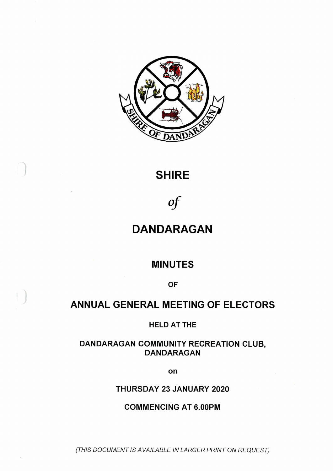

# **SHIRE**

*of*

# **DANDARAGAN**

## **MINUTES**

**OF**

# **ANNUAL GENERAL MEETING OF ELECTORS**

**HELD AT THE**

### **DANDARAGAN COMMUNITY RECREATION CLUB, DANDARAGAN**

**on**

### **THURSDAY 23 JANUARY 2020**

### **COMMENCING AT 6.00PM**

*(THIS DOCUMENT IS AVAILABLE IN LARGER PRINT ON REQUEST)*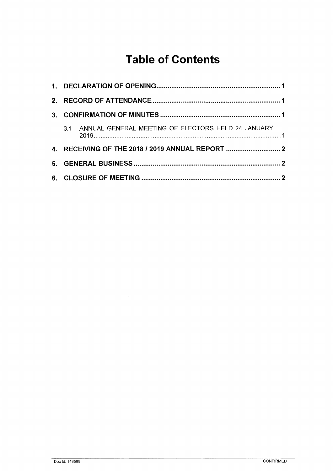# **Table of Contents**

| $2^{\circ}$  |  |                                                        |  |
|--------------|--|--------------------------------------------------------|--|
| $\mathbf{3}$ |  |                                                        |  |
|              |  | 3.1 ANNUAL GENERAL MEETING OF ELECTORS HELD 24 JANUARY |  |
|              |  |                                                        |  |
| 5.           |  |                                                        |  |
|              |  |                                                        |  |

 $\sim$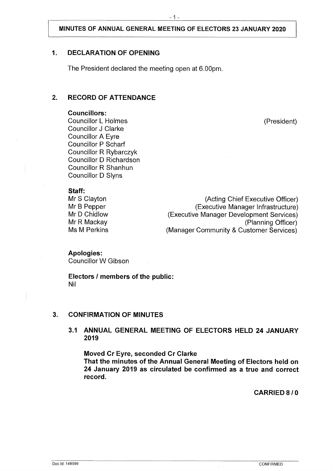#### **MINUTES OF ANNUAL GENERAL MEETING OF ELECTORS 23 JANUARY 2020**

#### <span id="page-2-0"></span>**1. DECLARATION OF OPENING**

The President declared the meeting open at 6.00pm.

#### **2. RECORD OF ATTENDANCE**

#### **Councillors:**

Councillor L Holmes (President) Councillor J Clarke Councillor A Eyre Councillor P Scharf Councillor R Rybarczyk Councillor D Richardson Councillor R Shanhun Councillor D Slyns

#### **Staff:**

| Mr S Clayton | (Acting Chief Executive Officer)         |
|--------------|------------------------------------------|
| Mr B Pepper  | (Executive Manager Infrastructure)       |
| Mr D Chidlow | (Executive Manager Development Services) |
| Mr R Mackay  | (Planning Officer)                       |
| Ms M Perkins | (Manager Community & Customer Services)  |
|              |                                          |

**Apologies:** Councillor W Gibson

<span id="page-2-1"></span>**Electors / members of the public:** Nil

#### <span id="page-2-2"></span>**3. CONFIRMATION OF MINUTES**

#### **3.1 ANNUAL GENERAL MEETING OF ELECTORS HELD 24 JANUARY 2019**

**Moved Cr Eyre, seconded Cr Clarke That the minutes of the Annual General Meeting of Electors held on 24 January 2019 as circulated be confirmed as a true and correct record.**

**CARRIED 8 / 0**